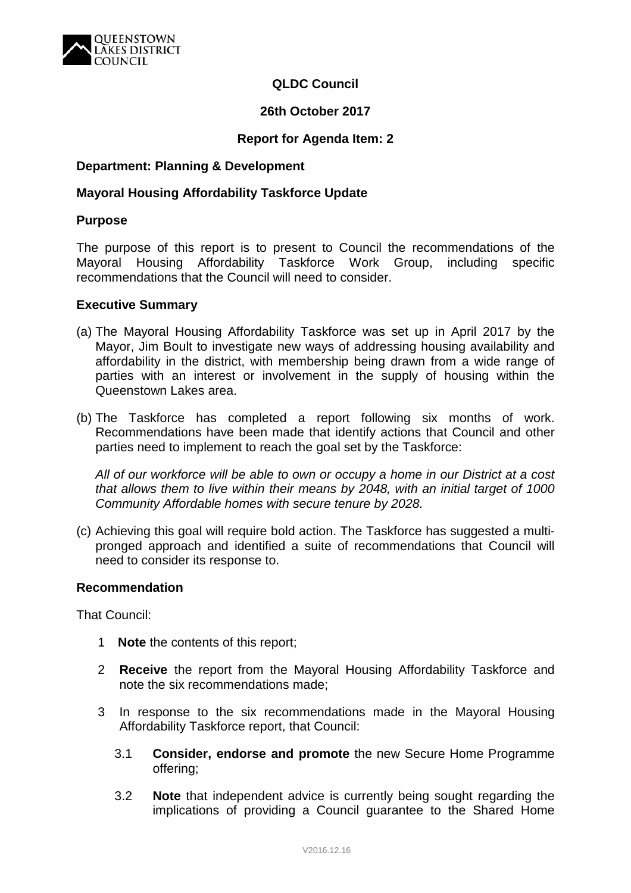

# **QLDC Council**

### **26th October 2017**

### **Report for Agenda Item: 2**

### **Department: Planning & Development**

### **Mayoral Housing Affordability Taskforce Update**

#### **Purpose**

The purpose of this report is to present to Council the recommendations of the Mayoral Housing Affordability Taskforce Work Group, including specific recommendations that the Council will need to consider.

#### **Executive Summary**

- (a) The Mayoral Housing Affordability Taskforce was set up in April 2017 by the Mayor, Jim Boult to investigate new ways of addressing housing availability and affordability in the district, with membership being drawn from a wide range of parties with an interest or involvement in the supply of housing within the Queenstown Lakes area.
- (b) The Taskforce has completed a report following six months of work. Recommendations have been made that identify actions that Council and other parties need to implement to reach the goal set by the Taskforce:

*All of our workforce will be able to own or occupy a home in our District at a cost that allows them to live within their means by 2048, with an initial target of 1000 Community Affordable homes with secure tenure by 2028.*

(c) Achieving this goal will require bold action. The Taskforce has suggested a multipronged approach and identified a suite of recommendations that Council will need to consider its response to.

#### **Recommendation**

That Council:

- 1 **Note** the contents of this report;
- 2 **Receive** the report from the Mayoral Housing Affordability Taskforce and note the six recommendations made;
- 3 In response to the six recommendations made in the Mayoral Housing Affordability Taskforce report, that Council:
	- 3.1 **Consider, endorse and promote** the new Secure Home Programme offering;
	- 3.2 **Note** that independent advice is currently being sought regarding the implications of providing a Council guarantee to the Shared Home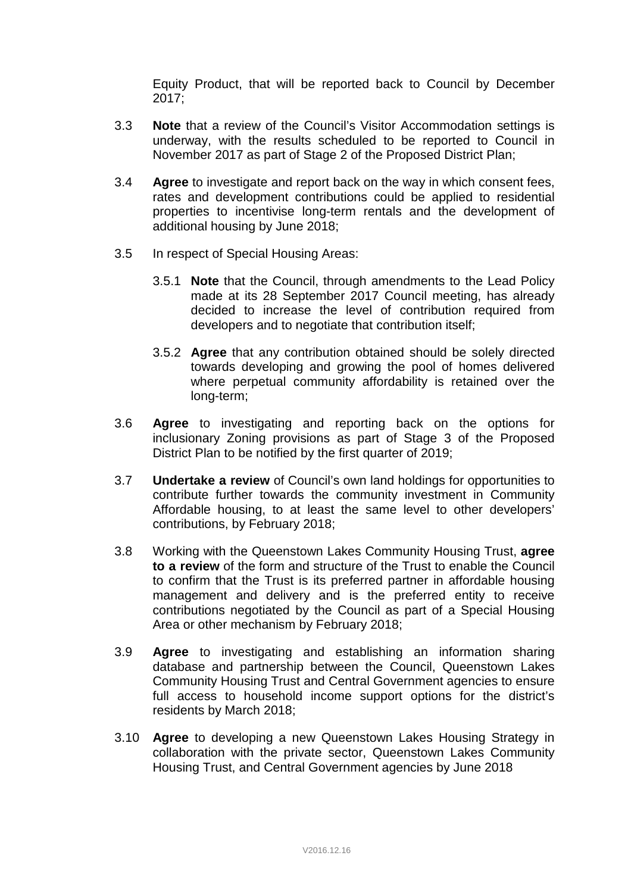Equity Product, that will be reported back to Council by December 2017;

- 3.3 **Note** that a review of the Council's Visitor Accommodation settings is underway, with the results scheduled to be reported to Council in November 2017 as part of Stage 2 of the Proposed District Plan;
- 3.4 **Agree** to investigate and report back on the way in which consent fees, rates and development contributions could be applied to residential properties to incentivise long-term rentals and the development of additional housing by June 2018;
- 3.5 In respect of Special Housing Areas:
	- 3.5.1 **Note** that the Council, through amendments to the Lead Policy made at its 28 September 2017 Council meeting, has already decided to increase the level of contribution required from developers and to negotiate that contribution itself;
	- 3.5.2 **Agree** that any contribution obtained should be solely directed towards developing and growing the pool of homes delivered where perpetual community affordability is retained over the long-term;
- 3.6 **Agree** to investigating and reporting back on the options for inclusionary Zoning provisions as part of Stage 3 of the Proposed District Plan to be notified by the first quarter of 2019;
- 3.7 **Undertake a review** of Council's own land holdings for opportunities to contribute further towards the community investment in Community Affordable housing, to at least the same level to other developers' contributions, by February 2018;
- 3.8 Working with the Queenstown Lakes Community Housing Trust, **agree to a review** of the form and structure of the Trust to enable the Council to confirm that the Trust is its preferred partner in affordable housing management and delivery and is the preferred entity to receive contributions negotiated by the Council as part of a Special Housing Area or other mechanism by February 2018;
- 3.9 **Agree** to investigating and establishing an information sharing database and partnership between the Council, Queenstown Lakes Community Housing Trust and Central Government agencies to ensure full access to household income support options for the district's residents by March 2018;
- 3.10 **Agree** to developing a new Queenstown Lakes Housing Strategy in collaboration with the private sector, Queenstown Lakes Community Housing Trust, and Central Government agencies by June 2018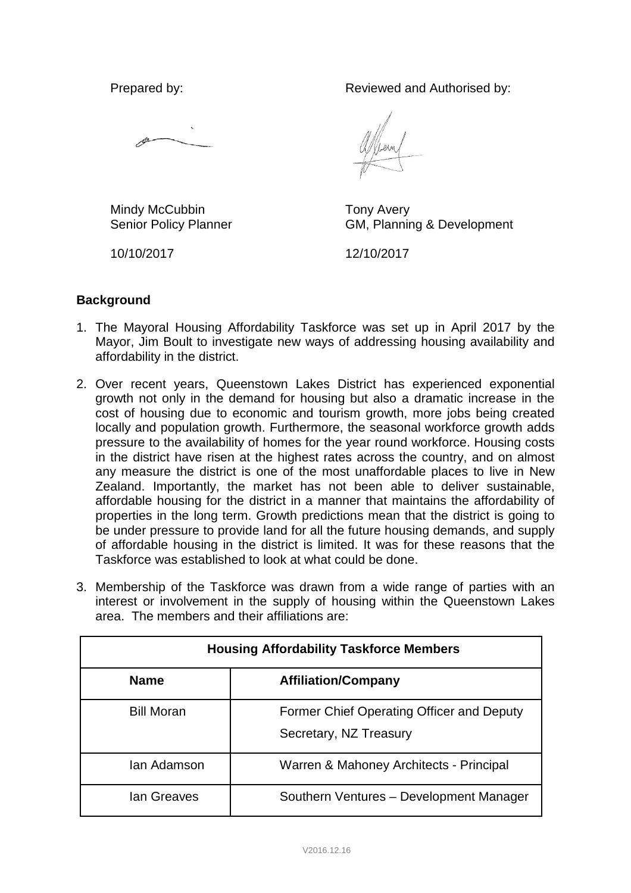Prepared by: Reviewed and Authorised by:

Mindy McCubbin Senior Policy Planner Tony Avery GM, Planning & Development

10/10/2017

12/10/2017

# **Background**

- 1. The Mayoral Housing Affordability Taskforce was set up in April 2017 by the Mayor, Jim Boult to investigate new ways of addressing housing availability and affordability in the district.
- 2. Over recent years, Queenstown Lakes District has experienced exponential growth not only in the demand for housing but also a dramatic increase in the cost of housing due to economic and tourism growth, more jobs being created locally and population growth. Furthermore, the seasonal workforce growth adds pressure to the availability of homes for the year round workforce. Housing costs in the district have risen at the highest rates across the country, and on almost any measure the district is one of the most unaffordable places to live in New Zealand. Importantly, the market has not been able to deliver sustainable, affordable housing for the district in a manner that maintains the affordability of properties in the long term. Growth predictions mean that the district is going to be under pressure to provide land for all the future housing demands, and supply of affordable housing in the district is limited. It was for these reasons that the Taskforce was established to look at what could be done.
- 3. Membership of the Taskforce was drawn from a wide range of parties with an interest or involvement in the supply of housing within the Queenstown Lakes area. The members and their affiliations are:

| <b>Housing Affordability Taskforce Members</b> |                                                                     |
|------------------------------------------------|---------------------------------------------------------------------|
| <b>Name</b>                                    | <b>Affiliation/Company</b>                                          |
| <b>Bill Moran</b>                              | Former Chief Operating Officer and Deputy<br>Secretary, NZ Treasury |
| lan Adamson                                    | Warren & Mahoney Architects - Principal                             |
| lan Greaves                                    | Southern Ventures - Development Manager                             |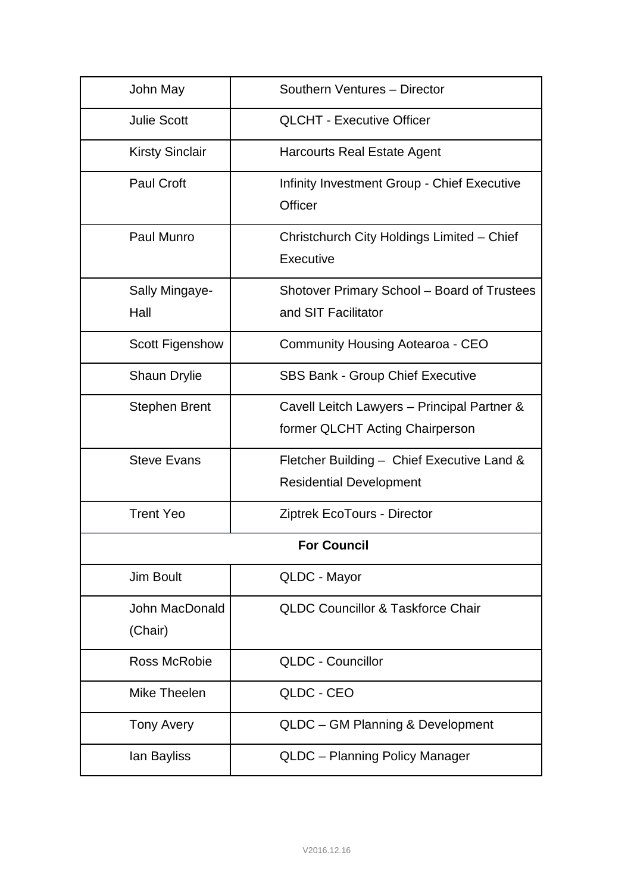| John May                  | Southern Ventures - Director                                                   |  |
|---------------------------|--------------------------------------------------------------------------------|--|
| <b>Julie Scott</b>        | <b>QLCHT - Executive Officer</b>                                               |  |
| <b>Kirsty Sinclair</b>    | <b>Harcourts Real Estate Agent</b>                                             |  |
| <b>Paul Croft</b>         | Infinity Investment Group - Chief Executive<br>Officer                         |  |
| Paul Munro                | Christchurch City Holdings Limited - Chief<br>Executive                        |  |
| Sally Mingaye-<br>Hall    | Shotover Primary School - Board of Trustees<br>and SIT Facilitator             |  |
| <b>Scott Figenshow</b>    | <b>Community Housing Aotearoa - CEO</b>                                        |  |
| <b>Shaun Drylie</b>       | <b>SBS Bank - Group Chief Executive</b>                                        |  |
| <b>Stephen Brent</b>      | Cavell Leitch Lawyers - Principal Partner &<br>former QLCHT Acting Chairperson |  |
| <b>Steve Evans</b>        | Fletcher Building - Chief Executive Land &<br><b>Residential Development</b>   |  |
| <b>Trent Yeo</b>          | Ziptrek EcoTours - Director                                                    |  |
| <b>For Council</b>        |                                                                                |  |
| Jim Boult                 | QLDC - Mayor                                                                   |  |
| John MacDonald<br>(Chair) | <b>QLDC Councillor &amp; Taskforce Chair</b>                                   |  |
| <b>Ross McRobie</b>       | <b>QLDC - Councillor</b>                                                       |  |
| Mike Theelen              | QLDC - CEO                                                                     |  |
| <b>Tony Avery</b>         | QLDC - GM Planning & Development                                               |  |
| lan Bayliss               | QLDC - Planning Policy Manager                                                 |  |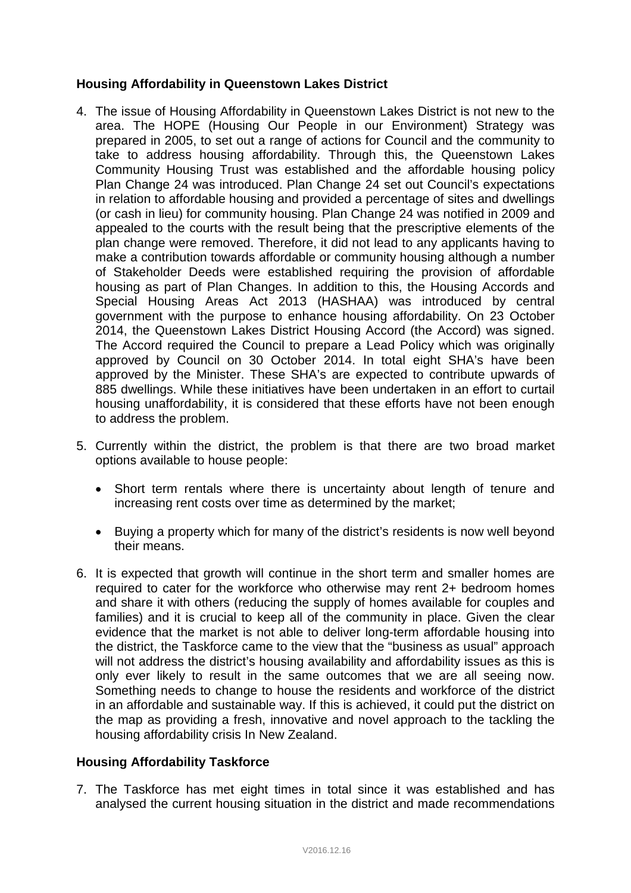# **Housing Affordability in Queenstown Lakes District**

- 4. The issue of Housing Affordability in Queenstown Lakes District is not new to the area. The HOPE (Housing Our People in our Environment) Strategy was prepared in 2005, to set out a range of actions for Council and the community to take to address housing affordability. Through this, the Queenstown Lakes Community Housing Trust was established and the affordable housing policy Plan Change 24 was introduced. Plan Change 24 set out Council's expectations in relation to affordable housing and provided a percentage of sites and dwellings (or cash in lieu) for community housing. Plan Change 24 was notified in 2009 and appealed to the courts with the result being that the prescriptive elements of the plan change were removed. Therefore, it did not lead to any applicants having to make a contribution towards affordable or community housing although a number of Stakeholder Deeds were established requiring the provision of affordable housing as part of Plan Changes. In addition to this, the Housing Accords and Special Housing Areas Act 2013 (HASHAA) was introduced by central government with the purpose to enhance housing affordability. On 23 October 2014, the Queenstown Lakes District Housing Accord (the Accord) was signed. The Accord required the Council to prepare a Lead Policy which was originally approved by Council on 30 October 2014. In total eight SHA's have been approved by the Minister. These SHA's are expected to contribute upwards of 885 dwellings. While these initiatives have been undertaken in an effort to curtail housing unaffordability, it is considered that these efforts have not been enough to address the problem.
- 5. Currently within the district, the problem is that there are two broad market options available to house people:
	- Short term rentals where there is uncertainty about length of tenure and increasing rent costs over time as determined by the market;
	- Buying a property which for many of the district's residents is now well beyond their means.
- 6. It is expected that growth will continue in the short term and smaller homes are required to cater for the workforce who otherwise may rent 2+ bedroom homes and share it with others (reducing the supply of homes available for couples and families) and it is crucial to keep all of the community in place. Given the clear evidence that the market is not able to deliver long-term affordable housing into the district, the Taskforce came to the view that the "business as usual" approach will not address the district's housing availability and affordability issues as this is only ever likely to result in the same outcomes that we are all seeing now. Something needs to change to house the residents and workforce of the district in an affordable and sustainable way. If this is achieved, it could put the district on the map as providing a fresh, innovative and novel approach to the tackling the housing affordability crisis In New Zealand.

## **Housing Affordability Taskforce**

7. The Taskforce has met eight times in total since it was established and has analysed the current housing situation in the district and made recommendations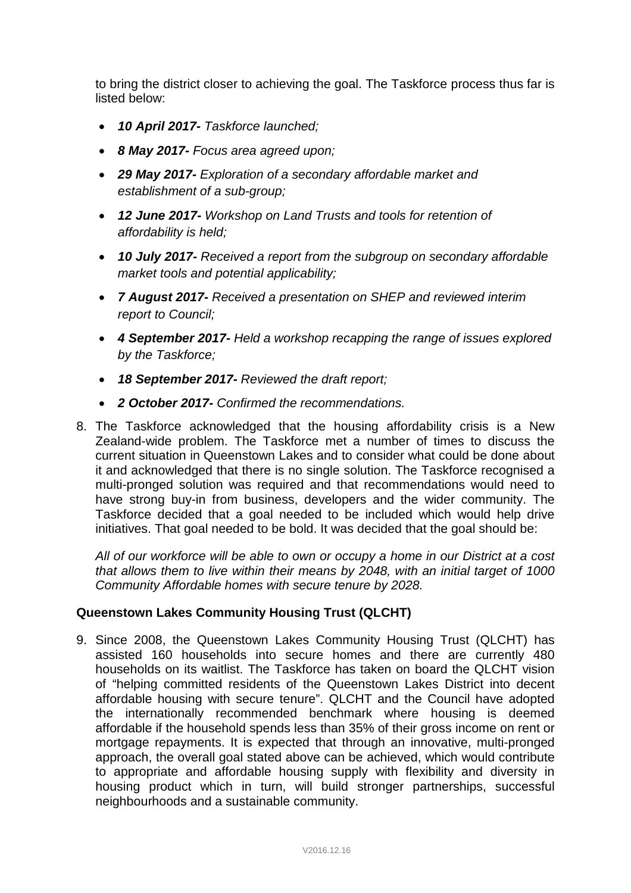to bring the district closer to achieving the goal. The Taskforce process thus far is listed below:

- *10 April 2017- Taskforce launched;*
- *8 May 2017- Focus area agreed upon;*
- *29 May 2017- Exploration of a secondary affordable market and establishment of a sub-group;*
- *12 June 2017- Workshop on Land Trusts and tools for retention of affordability is held;*
- *10 July 2017- Received a report from the subgroup on secondary affordable market tools and potential applicability;*
- *7 August 2017- Received a presentation on SHEP and reviewed interim report to Council;*
- *4 September 2017- Held a workshop recapping the range of issues explored by the Taskforce;*
- *18 September 2017- Reviewed the draft report;*
- *2 October 2017- Confirmed the recommendations.*
- 8. The Taskforce acknowledged that the housing affordability crisis is a New Zealand-wide problem. The Taskforce met a number of times to discuss the current situation in Queenstown Lakes and to consider what could be done about it and acknowledged that there is no single solution. The Taskforce recognised a multi-pronged solution was required and that recommendations would need to have strong buy-in from business, developers and the wider community. The Taskforce decided that a goal needed to be included which would help drive initiatives. That goal needed to be bold. It was decided that the goal should be:

*All of our workforce will be able to own or occupy a home in our District at a cost that allows them to live within their means by 2048, with an initial target of 1000 Community Affordable homes with secure tenure by 2028.*

# **Queenstown Lakes Community Housing Trust (QLCHT)**

9. Since 2008, the Queenstown Lakes Community Housing Trust (QLCHT) has assisted 160 households into secure homes and there are currently 480 households on its waitlist. The Taskforce has taken on board the QLCHT vision of "helping committed residents of the Queenstown Lakes District into decent affordable housing with secure tenure". QLCHT and the Council have adopted the internationally recommended benchmark where housing is deemed affordable if the household spends less than 35% of their gross income on rent or mortgage repayments. It is expected that through an innovative, multi-pronged approach, the overall goal stated above can be achieved, which would contribute to appropriate and affordable housing supply with flexibility and diversity in housing product which in turn, will build stronger partnerships, successful neighbourhoods and a sustainable community.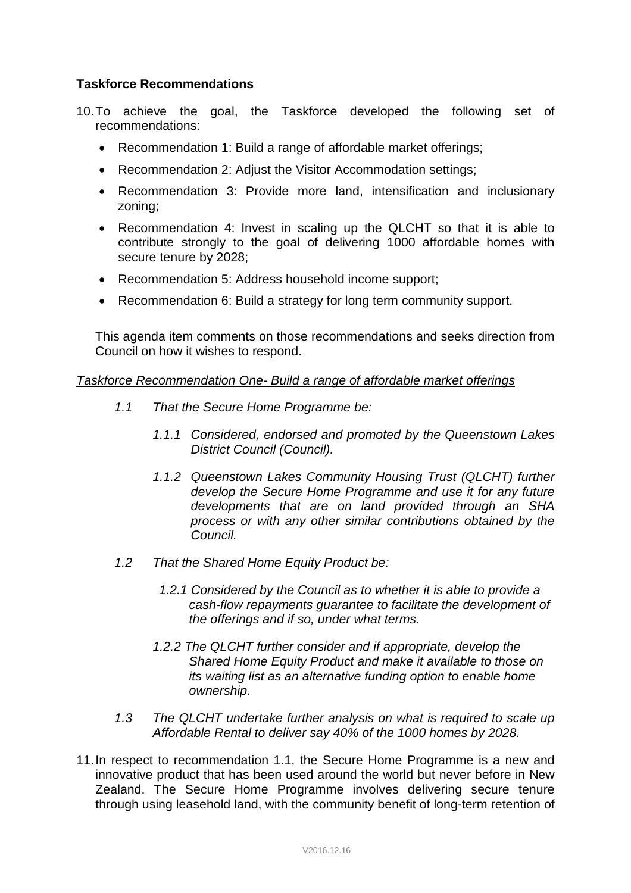# **Taskforce Recommendations**

- 10.To achieve the goal, the Taskforce developed the following set of recommendations:
	- Recommendation 1: Build a range of affordable market offerings;
	- Recommendation 2: Adjust the Visitor Accommodation settings;
	- Recommendation 3: Provide more land, intensification and inclusionary zoning;
	- Recommendation 4: Invest in scaling up the QLCHT so that it is able to contribute strongly to the goal of delivering 1000 affordable homes with secure tenure by 2028;
	- Recommendation 5: Address household income support;
	- Recommendation 6: Build a strategy for long term community support.

This agenda item comments on those recommendations and seeks direction from Council on how it wishes to respond.

#### *Taskforce Recommendation One- Build a range of affordable market offerings*

- *1.1 That the Secure Home Programme be:*
	- *1.1.1 Considered, endorsed and promoted by the Queenstown Lakes District Council (Council).*
	- *1.1.2 Queenstown Lakes Community Housing Trust (QLCHT) further develop the Secure Home Programme and use it for any future developments that are on land provided through an SHA process or with any other similar contributions obtained by the Council.*
- *1.2 That the Shared Home Equity Product be:*
	- *1.2.1 Considered by the Council as to whether it is able to provide a cash-flow repayments guarantee to facilitate the development of the offerings and if so, under what terms.*
	- *1.2.2 The QLCHT further consider and if appropriate, develop the Shared Home Equity Product and make it available to those on its waiting list as an alternative funding option to enable home ownership.*
- *1.3 The QLCHT undertake further analysis on what is required to scale up Affordable Rental to deliver say 40% of the 1000 homes by 2028.*
- 11.In respect to recommendation 1.1, the Secure Home Programme is a new and innovative product that has been used around the world but never before in New Zealand. The Secure Home Programme involves delivering secure tenure through using leasehold land, with the community benefit of long-term retention of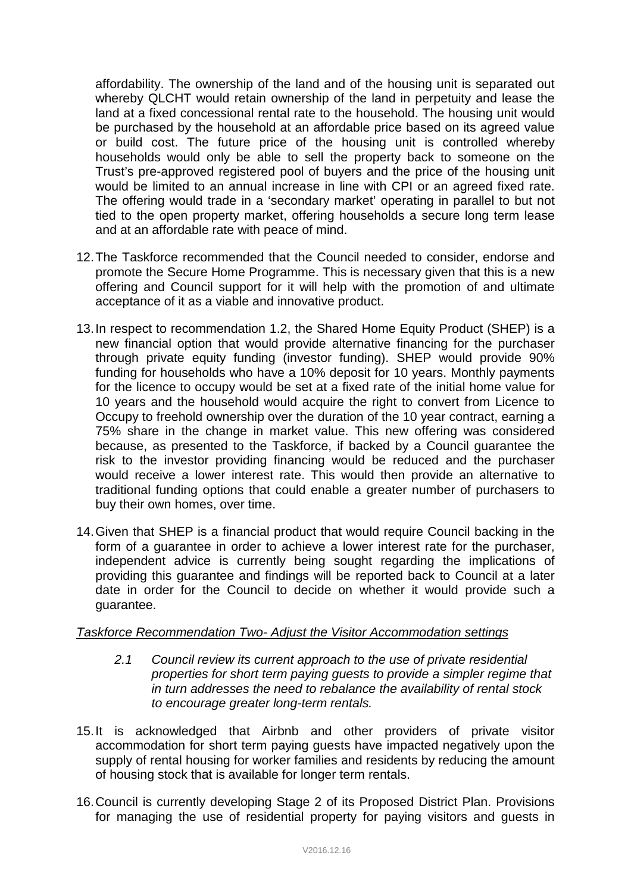affordability. The ownership of the land and of the housing unit is separated out whereby QLCHT would retain ownership of the land in perpetuity and lease the land at a fixed concessional rental rate to the household. The housing unit would be purchased by the household at an affordable price based on its agreed value or build cost. The future price of the housing unit is controlled whereby households would only be able to sell the property back to someone on the Trust's pre-approved registered pool of buyers and the price of the housing unit would be limited to an annual increase in line with CPI or an agreed fixed rate. The offering would trade in a 'secondary market' operating in parallel to but not tied to the open property market, offering households a secure long term lease and at an affordable rate with peace of mind.

- 12.The Taskforce recommended that the Council needed to consider, endorse and promote the Secure Home Programme. This is necessary given that this is a new offering and Council support for it will help with the promotion of and ultimate acceptance of it as a viable and innovative product.
- 13.In respect to recommendation 1.2, the Shared Home Equity Product (SHEP) is a new financial option that would provide alternative financing for the purchaser through private equity funding (investor funding). SHEP would provide 90% funding for households who have a 10% deposit for 10 years. Monthly payments for the licence to occupy would be set at a fixed rate of the initial home value for 10 years and the household would acquire the right to convert from Licence to Occupy to freehold ownership over the duration of the 10 year contract, earning a 75% share in the change in market value. This new offering was considered because, as presented to the Taskforce, if backed by a Council guarantee the risk to the investor providing financing would be reduced and the purchaser would receive a lower interest rate. This would then provide an alternative to traditional funding options that could enable a greater number of purchasers to buy their own homes, over time.
- 14.Given that SHEP is a financial product that would require Council backing in the form of a guarantee in order to achieve a lower interest rate for the purchaser, independent advice is currently being sought regarding the implications of providing this guarantee and findings will be reported back to Council at a later date in order for the Council to decide on whether it would provide such a guarantee.

# *Taskforce Recommendation Two- Adjust the Visitor Accommodation settings*

- *2.1 Council review its current approach to the use of private residential properties for short term paying guests to provide a simpler regime that in turn addresses the need to rebalance the availability of rental stock to encourage greater long-term rentals.*
- 15.It is acknowledged that Airbnb and other providers of private visitor accommodation for short term paying guests have impacted negatively upon the supply of rental housing for worker families and residents by reducing the amount of housing stock that is available for longer term rentals.
- 16.Council is currently developing Stage 2 of its Proposed District Plan. Provisions for managing the use of residential property for paying visitors and guests in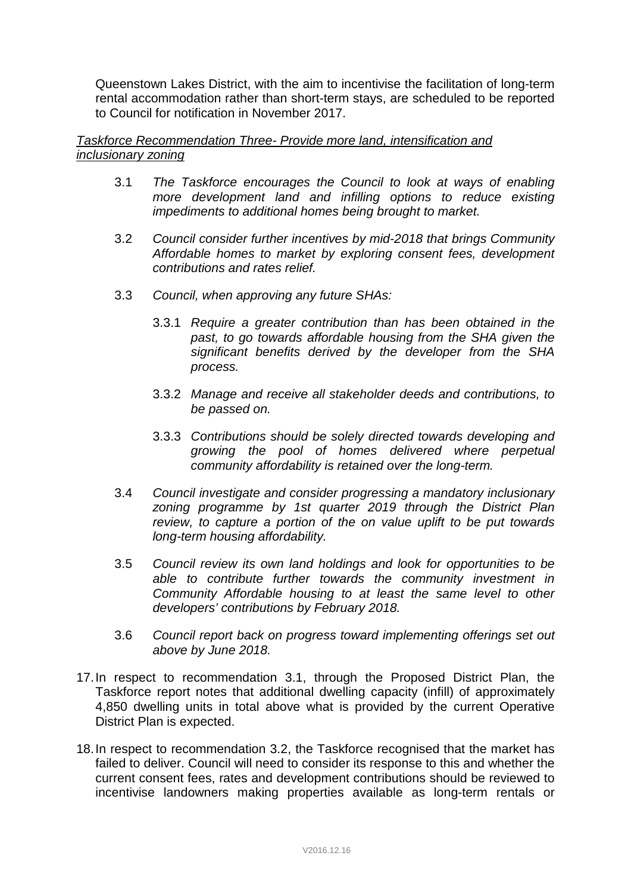Queenstown Lakes District, with the aim to incentivise the facilitation of long-term rental accommodation rather than short-term stays, are scheduled to be reported to Council for notification in November 2017.

## *Taskforce Recommendation Three- Provide more land, intensification and inclusionary zoning*

- 3.1 *The Taskforce encourages the Council to look at ways of enabling more development land and infilling options to reduce existing impediments to additional homes being brought to market.*
- 3.2 *Council consider further incentives by mid-2018 that brings Community Affordable homes to market by exploring consent fees, development contributions and rates relief.*
- 3.3 *Council, when approving any future SHAs:*
	- 3.3.1 *Require a greater contribution than has been obtained in the past, to go towards affordable housing from the SHA given the significant benefits derived by the developer from the SHA process.*
	- 3.3.2 *Manage and receive all stakeholder deeds and contributions, to be passed on.*
	- 3.3.3 *Contributions should be solely directed towards developing and growing the pool of homes delivered where perpetual community affordability is retained over the long-term.*
- 3.4 *Council investigate and consider progressing a mandatory inclusionary zoning programme by 1st quarter 2019 through the District Plan review, to capture a portion of the on value uplift to be put towards long-term housing affordability.*
- 3.5 *Council review its own land holdings and look for opportunities to be able to contribute further towards the community investment in Community Affordable housing to at least the same level to other developers' contributions by February 2018.*
- 3.6 *Council report back on progress toward implementing offerings set out above by June 2018.*
- 17.In respect to recommendation 3.1, through the Proposed District Plan, the Taskforce report notes that additional dwelling capacity (infill) of approximately 4,850 dwelling units in total above what is provided by the current Operative District Plan is expected.
- 18.In respect to recommendation 3.2, the Taskforce recognised that the market has failed to deliver. Council will need to consider its response to this and whether the current consent fees, rates and development contributions should be reviewed to incentivise landowners making properties available as long-term rentals or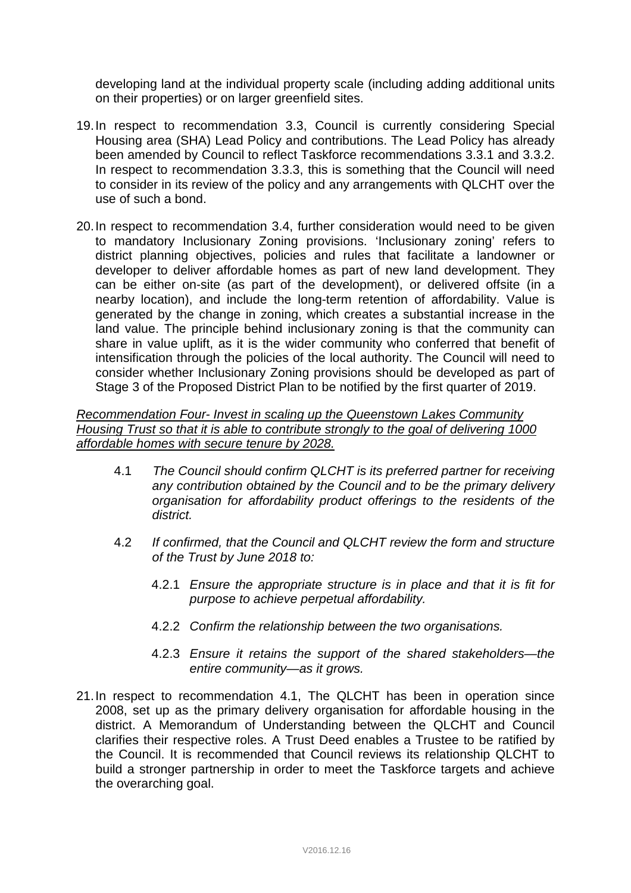developing land at the individual property scale (including adding additional units on their properties) or on larger greenfield sites.

- 19.In respect to recommendation 3.3, Council is currently considering Special Housing area (SHA) Lead Policy and contributions. The Lead Policy has already been amended by Council to reflect Taskforce recommendations 3.3.1 and 3.3.2. In respect to recommendation 3.3.3, this is something that the Council will need to consider in its review of the policy and any arrangements with QLCHT over the use of such a bond.
- 20.In respect to recommendation 3.4, further consideration would need to be given to mandatory Inclusionary Zoning provisions. 'Inclusionary zoning' refers to district planning objectives, policies and rules that facilitate a landowner or developer to deliver affordable homes as part of new land development. They can be either on-site (as part of the development), or delivered offsite (in a nearby location), and include the long-term retention of affordability. Value is generated by the change in zoning, which creates a substantial increase in the land value. The principle behind inclusionary zoning is that the community can share in value uplift, as it is the wider community who conferred that benefit of intensification through the policies of the local authority. The Council will need to consider whether Inclusionary Zoning provisions should be developed as part of Stage 3 of the Proposed District Plan to be notified by the first quarter of 2019.

### *Recommendation Four- Invest in scaling up the Queenstown Lakes Community Housing Trust so that it is able to contribute strongly to the goal of delivering 1000 affordable homes with secure tenure by 2028.*

- 4.1 *The Council should confirm QLCHT is its preferred partner for receiving any contribution obtained by the Council and to be the primary delivery organisation for affordability product offerings to the residents of the district.*
- 4.2 *If confirmed, that the Council and QLCHT review the form and structure of the Trust by June 2018 to:*
	- 4.2.1 *Ensure the appropriate structure is in place and that it is fit for purpose to achieve perpetual affordability.*
	- 4.2.2 *Confirm the relationship between the two organisations.*
	- 4.2.3 *Ensure it retains the support of the shared stakeholders—the entire community—as it grows.*
- 21.In respect to recommendation 4.1, The QLCHT has been in operation since 2008, set up as the primary delivery organisation for affordable housing in the district. A Memorandum of Understanding between the QLCHT and Council clarifies their respective roles. A Trust Deed enables a Trustee to be ratified by the Council. It is recommended that Council reviews its relationship QLCHT to build a stronger partnership in order to meet the Taskforce targets and achieve the overarching goal.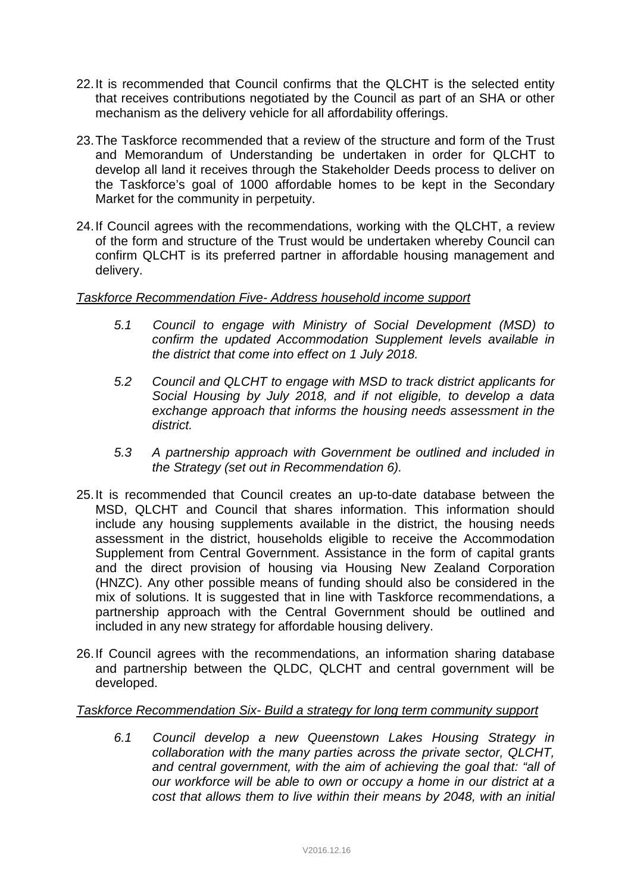- 22.It is recommended that Council confirms that the QLCHT is the selected entity that receives contributions negotiated by the Council as part of an SHA or other mechanism as the delivery vehicle for all affordability offerings.
- 23.The Taskforce recommended that a review of the structure and form of the Trust and Memorandum of Understanding be undertaken in order for QLCHT to develop all land it receives through the Stakeholder Deeds process to deliver on the Taskforce's goal of 1000 affordable homes to be kept in the Secondary Market for the community in perpetuity.
- 24.If Council agrees with the recommendations, working with the QLCHT, a review of the form and structure of the Trust would be undertaken whereby Council can confirm QLCHT is its preferred partner in affordable housing management and delivery.

## *Taskforce Recommendation Five- Address household income support*

- *5.1 Council to engage with Ministry of Social Development (MSD) to confirm the updated Accommodation Supplement levels available in the district that come into effect on 1 July 2018.*
- *5.2 Council and QLCHT to engage with MSD to track district applicants for Social Housing by July 2018, and if not eligible, to develop a data exchange approach that informs the housing needs assessment in the district.*
- *5.3 A partnership approach with Government be outlined and included in the Strategy (set out in Recommendation 6).*
- 25.It is recommended that Council creates an up-to-date database between the MSD, QLCHT and Council that shares information. This information should include any housing supplements available in the district, the housing needs assessment in the district, households eligible to receive the Accommodation Supplement from Central Government. Assistance in the form of capital grants and the direct provision of housing via Housing New Zealand Corporation (HNZC). Any other possible means of funding should also be considered in the mix of solutions. It is suggested that in line with Taskforce recommendations, a partnership approach with the Central Government should be outlined and included in any new strategy for affordable housing delivery.
- 26.If Council agrees with the recommendations, an information sharing database and partnership between the QLDC, QLCHT and central government will be developed.

## *Taskforce Recommendation Six- Build a strategy for long term community support*

*6.1 Council develop a new Queenstown Lakes Housing Strategy in collaboration with the many parties across the private sector, QLCHT, and central government, with the aim of achieving the goal that: "all of our workforce will be able to own or occupy a home in our district at a cost that allows them to live within their means by 2048, with an initial*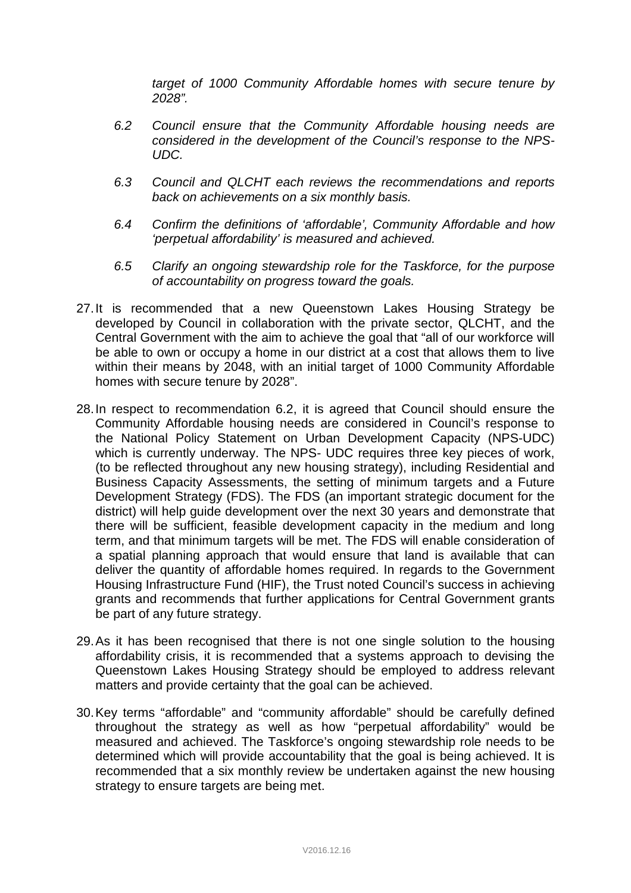*target of 1000 Community Affordable homes with secure tenure by 2028".*

- *6.2 Council ensure that the Community Affordable housing needs are considered in the development of the Council's response to the NPS-UDC.*
- *6.3 Council and QLCHT each reviews the recommendations and reports back on achievements on a six monthly basis.*
- *6.4 Confirm the definitions of 'affordable', Community Affordable and how 'perpetual affordability' is measured and achieved.*
- *6.5 Clarify an ongoing stewardship role for the Taskforce, for the purpose of accountability on progress toward the goals.*
- 27.It is recommended that a new Queenstown Lakes Housing Strategy be developed by Council in collaboration with the private sector, QLCHT, and the Central Government with the aim to achieve the goal that "all of our workforce will be able to own or occupy a home in our district at a cost that allows them to live within their means by 2048, with an initial target of 1000 Community Affordable homes with secure tenure by 2028".
- 28.In respect to recommendation 6.2, it is agreed that Council should ensure the Community Affordable housing needs are considered in Council's response to the National Policy Statement on Urban Development Capacity (NPS-UDC) which is currently underway. The NPS- UDC requires three key pieces of work, (to be reflected throughout any new housing strategy), including Residential and Business Capacity Assessments, the setting of minimum targets and a Future Development Strategy (FDS). The FDS (an important strategic document for the district) will help guide development over the next 30 years and demonstrate that there will be sufficient, feasible development capacity in the medium and long term, and that minimum targets will be met. The FDS will enable consideration of a spatial planning approach that would ensure that land is available that can deliver the quantity of affordable homes required. In regards to the Government Housing Infrastructure Fund (HIF), the Trust noted Council's success in achieving grants and recommends that further applications for Central Government grants be part of any future strategy.
- 29.As it has been recognised that there is not one single solution to the housing affordability crisis, it is recommended that a systems approach to devising the Queenstown Lakes Housing Strategy should be employed to address relevant matters and provide certainty that the goal can be achieved.
- 30.Key terms "affordable" and "community affordable" should be carefully defined throughout the strategy as well as how "perpetual affordability" would be measured and achieved. The Taskforce's ongoing stewardship role needs to be determined which will provide accountability that the goal is being achieved. It is recommended that a six monthly review be undertaken against the new housing strategy to ensure targets are being met.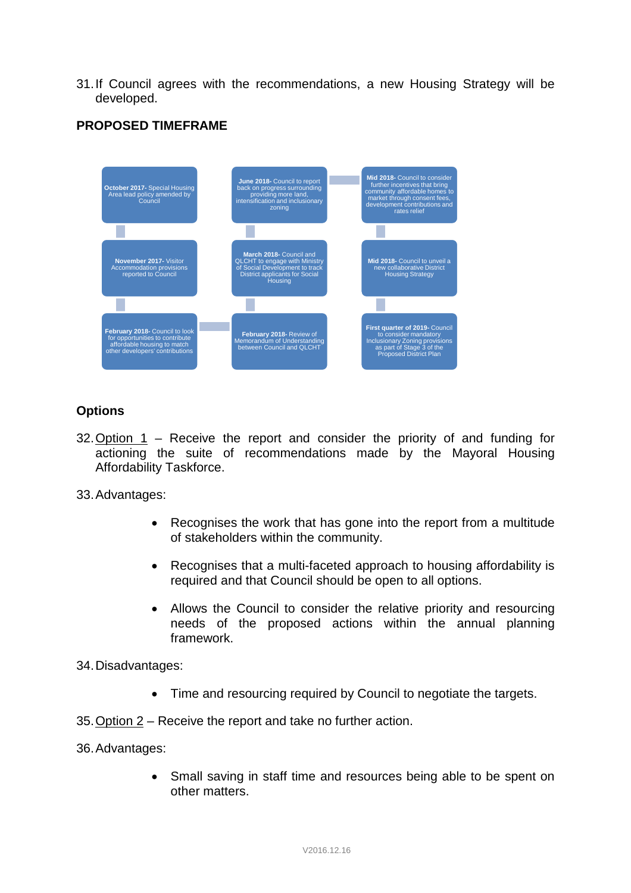31.If Council agrees with the recommendations, a new Housing Strategy will be developed.



# **PROPOSED TIMEFRAME**

## **Options**

32. Option  $1$  – Receive the report and consider the priority of and funding for actioning the suite of recommendations made by the Mayoral Housing Affordability Taskforce.

33.Advantages:

- Recognises the work that has gone into the report from a multitude of stakeholders within the community.
- Recognises that a multi-faceted approach to housing affordability is required and that Council should be open to all options.
- Allows the Council to consider the relative priority and resourcing needs of the proposed actions within the annual planning framework.

34.Disadvantages:

- Time and resourcing required by Council to negotiate the targets.
- 35.Option 2 Receive the report and take no further action.
- 36.Advantages:
	- Small saving in staff time and resources being able to be spent on other matters.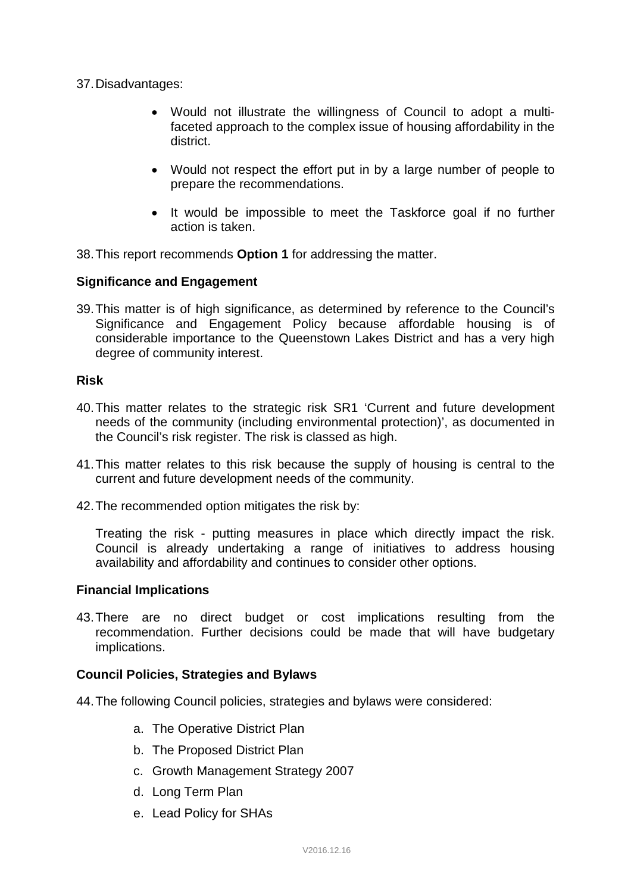37.Disadvantages:

- Would not illustrate the willingness of Council to adopt a multifaceted approach to the complex issue of housing affordability in the district.
- Would not respect the effort put in by a large number of people to prepare the recommendations.
- It would be impossible to meet the Taskforce goal if no further action is taken.

38.This report recommends **Option 1** for addressing the matter.

## **Significance and Engagement**

39.This matter is of high significance, as determined by reference to the Council's Significance and Engagement Policy because affordable housing is of considerable importance to the Queenstown Lakes District and has a very high degree of community interest.

### **Risk**

- 40.This matter relates to the strategic risk SR1 'Current and future development needs of the community (including environmental protection)', as documented in the Council's risk register. The risk is classed as high.
- 41.This matter relates to this risk because the supply of housing is central to the current and future development needs of the community.
- 42.The recommended option mitigates the risk by:

Treating the risk - putting measures in place which directly impact the risk. Council is already undertaking a range of initiatives to address housing availability and affordability and continues to consider other options.

#### **Financial Implications**

43.There are no direct budget or cost implications resulting from the recommendation. Further decisions could be made that will have budgetary implications.

#### **Council Policies, Strategies and Bylaws**

- 44.The following Council policies, strategies and bylaws were considered:
	- a. The Operative District Plan
	- b. The Proposed District Plan
	- c. Growth Management Strategy 2007
	- d. Long Term Plan
	- e. Lead Policy for SHAs